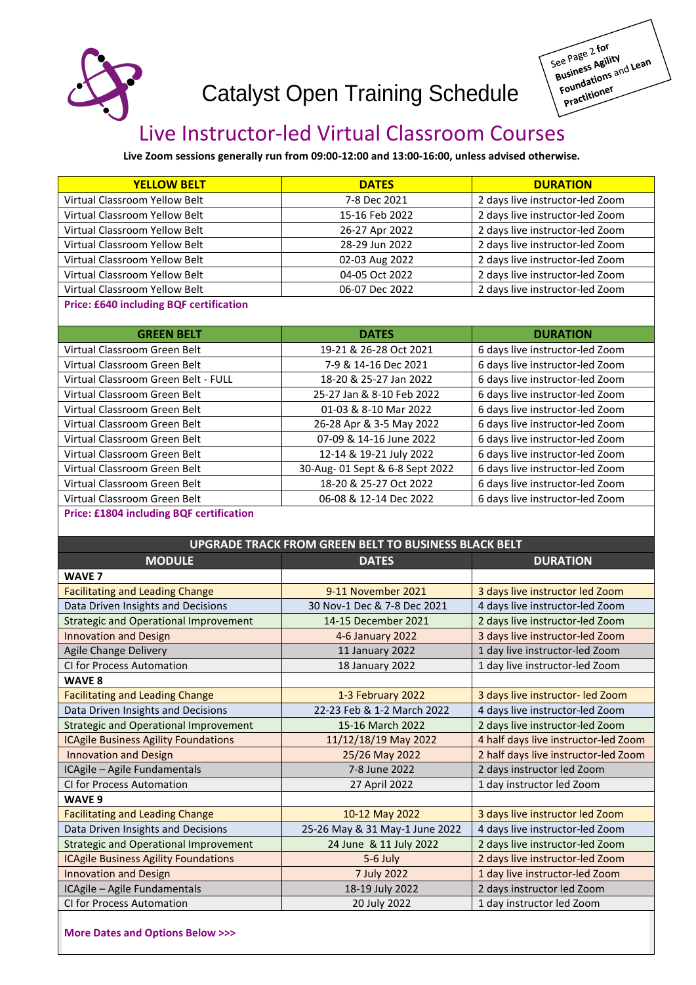

# Catalyst Open Training Schedule



## Live Instructor-led Virtual Classroom Courses

**Live Zoom sessions generally run from 09:00-12:00 and 13:00-16:00, unless advised otherwise.**

| <b>YELLOW BELT</b>                             | <b>DATES</b>   | <b>DURATION</b>                 |
|------------------------------------------------|----------------|---------------------------------|
| Virtual Classroom Yellow Belt                  | 7-8 Dec 2021   | 2 days live instructor-led Zoom |
| Virtual Classroom Yellow Belt                  | 15-16 Feb 2022 | 2 days live instructor-led Zoom |
| Virtual Classroom Yellow Belt                  | 26-27 Apr 2022 | 2 days live instructor-led Zoom |
| Virtual Classroom Yellow Belt                  | 28-29 Jun 2022 | 2 days live instructor-led Zoom |
| Virtual Classroom Yellow Belt                  | 02-03 Aug 2022 | 2 days live instructor-led Zoom |
| Virtual Classroom Yellow Belt                  | 04-05 Oct 2022 | 2 days live instructor-led Zoom |
| Virtual Classroom Yellow Belt                  | 06-07 Dec 2022 | 2 days live instructor-led Zoom |
| <b>Price: £640 including BQF certification</b> |                |                                 |

| <b>GREEN BELT</b>                   | <b>DATES</b>                   | <b>DURATION</b>                 |
|-------------------------------------|--------------------------------|---------------------------------|
| Virtual Classroom Green Belt        | 19-21 & 26-28 Oct 2021         | 6 days live instructor-led Zoom |
| Virtual Classroom Green Belt        | 7-9 & 14-16 Dec 2021           | 6 days live instructor-led Zoom |
| Virtual Classroom Green Belt - FULL | 18-20 & 25-27 Jan 2022         | 6 days live instructor-led Zoom |
| Virtual Classroom Green Belt        | 25-27 Jan & 8-10 Feb 2022      | 6 days live instructor-led Zoom |
| Virtual Classroom Green Belt        | 01-03 & 8-10 Mar 2022          | 6 days live instructor-led Zoom |
| Virtual Classroom Green Belt        | 26-28 Apr & 3-5 May 2022       | 6 days live instructor-led Zoom |
| Virtual Classroom Green Belt        | 07-09 & 14-16 June 2022        | 6 days live instructor-led Zoom |
| Virtual Classroom Green Belt        | 12-14 & 19-21 July 2022        | 6 days live instructor-led Zoom |
| Virtual Classroom Green Belt        | 30-Aug-01 Sept & 6-8 Sept 2022 | 6 days live instructor-led Zoom |
| Virtual Classroom Green Belt        | 18-20 & 25-27 Oct 2022         | 6 days live instructor-led Zoom |
| Virtual Classroom Green Belt        | 06-08 & 12-14 Dec 2022         | 6 days live instructor-led Zoom |

#### **Price: £1804 including BQF certification**

| <b>MODULE</b><br><b>DURATION</b><br><b>DATES</b><br><b>WAVE 7</b><br>9-11 November 2021<br><b>Facilitating and Leading Change</b><br>3 days live instructor led Zoom<br>Data Driven Insights and Decisions<br>30 Nov-1 Dec & 7-8 Dec 2021<br>4 days live instructor-led Zoom<br><b>Strategic and Operational Improvement</b><br>2 days live instructor-led Zoom<br>14-15 December 2021<br><b>Innovation and Design</b><br>3 days live instructor-led Zoom<br>4-6 January 2022<br>Agile Change Delivery<br>1 day live instructor-led Zoom<br>11 January 2022<br>CI for Process Automation<br>1 day live instructor-led Zoom<br>18 January 2022<br>WAVE 8<br><b>Facilitating and Leading Change</b><br>1-3 February 2022<br>3 days live instructor- led Zoom<br>Data Driven Insights and Decisions<br>22-23 Feb & 1-2 March 2022<br>4 days live instructor-led Zoom<br><b>Strategic and Operational Improvement</b><br>15-16 March 2022<br>2 days live instructor-led Zoom<br><b>ICAgile Business Agility Foundations</b><br>11/12/18/19 May 2022<br>4 half days live instructor-led Zoom<br><b>Innovation and Design</b><br>25/26 May 2022<br>2 half days live instructor-led Zoom<br>ICAgile - Agile Fundamentals<br>7-8 June 2022<br>2 days instructor led Zoom<br>CI for Process Automation<br>27 April 2022<br>1 day instructor led Zoom<br>WAVE 9<br><b>Facilitating and Leading Change</b><br>10-12 May 2022<br>3 days live instructor led Zoom<br>Data Driven Insights and Decisions<br>25-26 May & 31 May-1 June 2022<br>4 days live instructor-led Zoom<br><b>Strategic and Operational Improvement</b><br>24 June & 11 July 2022<br>2 days live instructor-led Zoom<br><b>ICAgile Business Agility Foundations</b><br>2 days live instructor-led Zoom<br>5-6 July<br><b>Innovation and Design</b><br>7 July 2022<br>1 day live instructor-led Zoom<br>ICAgile - Agile Fundamentals<br>18-19 July 2022<br>2 days instructor led Zoom<br>20 July 2022<br><b>CI for Process Automation</b><br>1 day instructor led Zoom | <b>UPGRADE TRACK FROM GREEN BELT TO BUSINESS BLACK BELT</b> |  |  |  |
|-------------------------------------------------------------------------------------------------------------------------------------------------------------------------------------------------------------------------------------------------------------------------------------------------------------------------------------------------------------------------------------------------------------------------------------------------------------------------------------------------------------------------------------------------------------------------------------------------------------------------------------------------------------------------------------------------------------------------------------------------------------------------------------------------------------------------------------------------------------------------------------------------------------------------------------------------------------------------------------------------------------------------------------------------------------------------------------------------------------------------------------------------------------------------------------------------------------------------------------------------------------------------------------------------------------------------------------------------------------------------------------------------------------------------------------------------------------------------------------------------------------------------------------------------------------------------------------------------------------------------------------------------------------------------------------------------------------------------------------------------------------------------------------------------------------------------------------------------------------------------------------------------------------------------------------------------------------------------------------------------------------------------------|-------------------------------------------------------------|--|--|--|
|                                                                                                                                                                                                                                                                                                                                                                                                                                                                                                                                                                                                                                                                                                                                                                                                                                                                                                                                                                                                                                                                                                                                                                                                                                                                                                                                                                                                                                                                                                                                                                                                                                                                                                                                                                                                                                                                                                                                                                                                                               |                                                             |  |  |  |
|                                                                                                                                                                                                                                                                                                                                                                                                                                                                                                                                                                                                                                                                                                                                                                                                                                                                                                                                                                                                                                                                                                                                                                                                                                                                                                                                                                                                                                                                                                                                                                                                                                                                                                                                                                                                                                                                                                                                                                                                                               |                                                             |  |  |  |
|                                                                                                                                                                                                                                                                                                                                                                                                                                                                                                                                                                                                                                                                                                                                                                                                                                                                                                                                                                                                                                                                                                                                                                                                                                                                                                                                                                                                                                                                                                                                                                                                                                                                                                                                                                                                                                                                                                                                                                                                                               |                                                             |  |  |  |
|                                                                                                                                                                                                                                                                                                                                                                                                                                                                                                                                                                                                                                                                                                                                                                                                                                                                                                                                                                                                                                                                                                                                                                                                                                                                                                                                                                                                                                                                                                                                                                                                                                                                                                                                                                                                                                                                                                                                                                                                                               |                                                             |  |  |  |
|                                                                                                                                                                                                                                                                                                                                                                                                                                                                                                                                                                                                                                                                                                                                                                                                                                                                                                                                                                                                                                                                                                                                                                                                                                                                                                                                                                                                                                                                                                                                                                                                                                                                                                                                                                                                                                                                                                                                                                                                                               |                                                             |  |  |  |
|                                                                                                                                                                                                                                                                                                                                                                                                                                                                                                                                                                                                                                                                                                                                                                                                                                                                                                                                                                                                                                                                                                                                                                                                                                                                                                                                                                                                                                                                                                                                                                                                                                                                                                                                                                                                                                                                                                                                                                                                                               |                                                             |  |  |  |
|                                                                                                                                                                                                                                                                                                                                                                                                                                                                                                                                                                                                                                                                                                                                                                                                                                                                                                                                                                                                                                                                                                                                                                                                                                                                                                                                                                                                                                                                                                                                                                                                                                                                                                                                                                                                                                                                                                                                                                                                                               |                                                             |  |  |  |
|                                                                                                                                                                                                                                                                                                                                                                                                                                                                                                                                                                                                                                                                                                                                                                                                                                                                                                                                                                                                                                                                                                                                                                                                                                                                                                                                                                                                                                                                                                                                                                                                                                                                                                                                                                                                                                                                                                                                                                                                                               |                                                             |  |  |  |
|                                                                                                                                                                                                                                                                                                                                                                                                                                                                                                                                                                                                                                                                                                                                                                                                                                                                                                                                                                                                                                                                                                                                                                                                                                                                                                                                                                                                                                                                                                                                                                                                                                                                                                                                                                                                                                                                                                                                                                                                                               |                                                             |  |  |  |
|                                                                                                                                                                                                                                                                                                                                                                                                                                                                                                                                                                                                                                                                                                                                                                                                                                                                                                                                                                                                                                                                                                                                                                                                                                                                                                                                                                                                                                                                                                                                                                                                                                                                                                                                                                                                                                                                                                                                                                                                                               |                                                             |  |  |  |
|                                                                                                                                                                                                                                                                                                                                                                                                                                                                                                                                                                                                                                                                                                                                                                                                                                                                                                                                                                                                                                                                                                                                                                                                                                                                                                                                                                                                                                                                                                                                                                                                                                                                                                                                                                                                                                                                                                                                                                                                                               |                                                             |  |  |  |
|                                                                                                                                                                                                                                                                                                                                                                                                                                                                                                                                                                                                                                                                                                                                                                                                                                                                                                                                                                                                                                                                                                                                                                                                                                                                                                                                                                                                                                                                                                                                                                                                                                                                                                                                                                                                                                                                                                                                                                                                                               |                                                             |  |  |  |
|                                                                                                                                                                                                                                                                                                                                                                                                                                                                                                                                                                                                                                                                                                                                                                                                                                                                                                                                                                                                                                                                                                                                                                                                                                                                                                                                                                                                                                                                                                                                                                                                                                                                                                                                                                                                                                                                                                                                                                                                                               |                                                             |  |  |  |
|                                                                                                                                                                                                                                                                                                                                                                                                                                                                                                                                                                                                                                                                                                                                                                                                                                                                                                                                                                                                                                                                                                                                                                                                                                                                                                                                                                                                                                                                                                                                                                                                                                                                                                                                                                                                                                                                                                                                                                                                                               |                                                             |  |  |  |
|                                                                                                                                                                                                                                                                                                                                                                                                                                                                                                                                                                                                                                                                                                                                                                                                                                                                                                                                                                                                                                                                                                                                                                                                                                                                                                                                                                                                                                                                                                                                                                                                                                                                                                                                                                                                                                                                                                                                                                                                                               |                                                             |  |  |  |
|                                                                                                                                                                                                                                                                                                                                                                                                                                                                                                                                                                                                                                                                                                                                                                                                                                                                                                                                                                                                                                                                                                                                                                                                                                                                                                                                                                                                                                                                                                                                                                                                                                                                                                                                                                                                                                                                                                                                                                                                                               |                                                             |  |  |  |
|                                                                                                                                                                                                                                                                                                                                                                                                                                                                                                                                                                                                                                                                                                                                                                                                                                                                                                                                                                                                                                                                                                                                                                                                                                                                                                                                                                                                                                                                                                                                                                                                                                                                                                                                                                                                                                                                                                                                                                                                                               |                                                             |  |  |  |
|                                                                                                                                                                                                                                                                                                                                                                                                                                                                                                                                                                                                                                                                                                                                                                                                                                                                                                                                                                                                                                                                                                                                                                                                                                                                                                                                                                                                                                                                                                                                                                                                                                                                                                                                                                                                                                                                                                                                                                                                                               |                                                             |  |  |  |
|                                                                                                                                                                                                                                                                                                                                                                                                                                                                                                                                                                                                                                                                                                                                                                                                                                                                                                                                                                                                                                                                                                                                                                                                                                                                                                                                                                                                                                                                                                                                                                                                                                                                                                                                                                                                                                                                                                                                                                                                                               |                                                             |  |  |  |
|                                                                                                                                                                                                                                                                                                                                                                                                                                                                                                                                                                                                                                                                                                                                                                                                                                                                                                                                                                                                                                                                                                                                                                                                                                                                                                                                                                                                                                                                                                                                                                                                                                                                                                                                                                                                                                                                                                                                                                                                                               |                                                             |  |  |  |
|                                                                                                                                                                                                                                                                                                                                                                                                                                                                                                                                                                                                                                                                                                                                                                                                                                                                                                                                                                                                                                                                                                                                                                                                                                                                                                                                                                                                                                                                                                                                                                                                                                                                                                                                                                                                                                                                                                                                                                                                                               |                                                             |  |  |  |
|                                                                                                                                                                                                                                                                                                                                                                                                                                                                                                                                                                                                                                                                                                                                                                                                                                                                                                                                                                                                                                                                                                                                                                                                                                                                                                                                                                                                                                                                                                                                                                                                                                                                                                                                                                                                                                                                                                                                                                                                                               |                                                             |  |  |  |
|                                                                                                                                                                                                                                                                                                                                                                                                                                                                                                                                                                                                                                                                                                                                                                                                                                                                                                                                                                                                                                                                                                                                                                                                                                                                                                                                                                                                                                                                                                                                                                                                                                                                                                                                                                                                                                                                                                                                                                                                                               |                                                             |  |  |  |
|                                                                                                                                                                                                                                                                                                                                                                                                                                                                                                                                                                                                                                                                                                                                                                                                                                                                                                                                                                                                                                                                                                                                                                                                                                                                                                                                                                                                                                                                                                                                                                                                                                                                                                                                                                                                                                                                                                                                                                                                                               |                                                             |  |  |  |

**More Dates and Options Below >>>**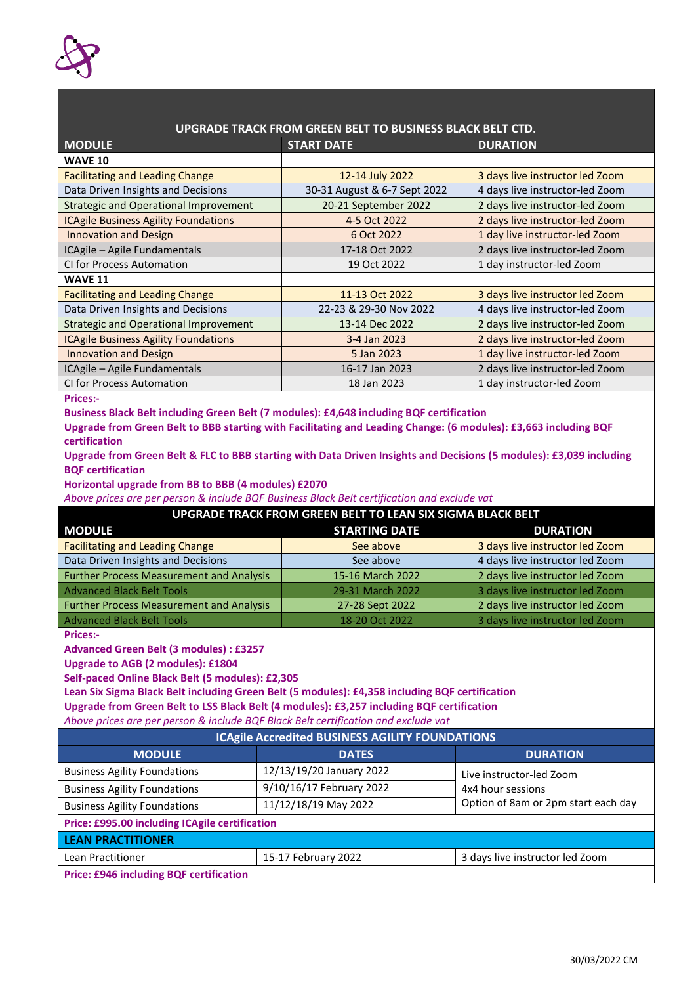

| UPGRADE TRACK FROM GREEN BELT TO BUSINESS BLACK BELT CTD.                                                           |                              |                                 |  |
|---------------------------------------------------------------------------------------------------------------------|------------------------------|---------------------------------|--|
| <b>MODULE</b>                                                                                                       | <b>START DATE</b>            | <b>DURATION</b>                 |  |
| <b>WAVE 10</b>                                                                                                      |                              |                                 |  |
| <b>Facilitating and Leading Change</b>                                                                              | 12-14 July 2022              | 3 days live instructor led Zoom |  |
| Data Driven Insights and Decisions                                                                                  | 30-31 August & 6-7 Sept 2022 | 4 days live instructor-led Zoom |  |
| <b>Strategic and Operational Improvement</b>                                                                        | 20-21 September 2022         | 2 days live instructor-led Zoom |  |
| <b>ICAgile Business Agility Foundations</b>                                                                         | 4-5 Oct 2022                 | 2 days live instructor-led Zoom |  |
| <b>Innovation and Design</b>                                                                                        | 6 Oct 2022                   | 1 day live instructor-led Zoom  |  |
| ICAgile - Agile Fundamentals                                                                                        | 17-18 Oct 2022               | 2 days live instructor-led Zoom |  |
| CI for Process Automation                                                                                           | 19 Oct 2022                  | 1 day instructor-led Zoom       |  |
| <b>WAVE 11</b>                                                                                                      |                              |                                 |  |
| <b>Facilitating and Leading Change</b>                                                                              | 11-13 Oct 2022               | 3 days live instructor led Zoom |  |
| Data Driven Insights and Decisions                                                                                  | 22-23 & 29-30 Nov 2022       | 4 days live instructor-led Zoom |  |
| <b>Strategic and Operational Improvement</b>                                                                        | 13-14 Dec 2022               | 2 days live instructor-led Zoom |  |
| <b>ICAgile Business Agility Foundations</b>                                                                         | 3-4 Jan 2023                 | 2 days live instructor-led Zoom |  |
| <b>Innovation and Design</b>                                                                                        | 5 Jan 2023                   | 1 day live instructor-led Zoom  |  |
| ICAgile - Agile Fundamentals                                                                                        | 16-17 Jan 2023               | 2 days live instructor-led Zoom |  |
| CI for Process Automation                                                                                           | 18 Jan 2023                  | 1 day instructor-led Zoom       |  |
| <b>Prices:-</b>                                                                                                     |                              |                                 |  |
| Business Black Belt including Green Belt (7 modules): £4,648 including BQF certification                            |                              |                                 |  |
| Upgrade from Green Belt to BBB starting with Facilitating and Leading Change: (6 modules): £3,663 including BQF     |                              |                                 |  |
| certification                                                                                                       |                              |                                 |  |
| Upgrade from Green Belt & FLC to BBB starting with Data Driven Insights and Decisions (5 modules): £3,039 including |                              |                                 |  |
| <b>BOF certification</b>                                                                                            |                              |                                 |  |
| Horizontal upgrade from BB to BBB (4 modules) £2070                                                                 |                              |                                 |  |
| Above prices are per person & include BQF Business Black Belt certification and exclude vat                         |                              |                                 |  |
| UPGRADE TRACK FROM GREEN BELT TO LEAN SIX SIGMA BLACK BELT                                                          |                              |                                 |  |
| <b>MODULE</b>                                                                                                       | <b>STARTING DATE</b>         | <b>DURATION</b>                 |  |

| <b>MODULE</b>                                   | <b>STARTING DATE</b> | <b>DURATION</b>                 |
|-------------------------------------------------|----------------------|---------------------------------|
| <b>Facilitating and Leading Change</b>          | See above            | 3 days live instructor led Zoom |
| Data Driven Insights and Decisions              | See above            | 4 days live instructor led Zoom |
| <b>Further Process Measurement and Analysis</b> | 15-16 March 2022     | 2 days live instructor led Zoom |
| <b>Advanced Black Belt Tools</b>                | 29-31 March 2022     | 3 days live instructor led Zoom |
| <b>Further Process Measurement and Analysis</b> | 27-28 Sept 2022      | 2 days live instructor led Zoom |
| <b>Advanced Black Belt Tools</b>                | 18-20 Oct 2022       | 3 days live instructor led Zoom |

**Prices:-**

**Advanced Green Belt (3 modules) : £3257**

**Upgrade to AGB (2 modules): £1804**

**Self-paced Online Black Belt (5 modules): £2,305**

**Lean Six Sigma Black Belt including Green Belt (5 modules): £4,358 including BQF certification**

**Upgrade from Green Belt to LSS Black Belt (4 modules): £3,257 including BQF certification**

*Above prices are per person & include BQF Black Belt certification and exclude vat*

| <b>ICAgile Accredited BUSINESS AGILITY FOUNDATIONS</b> |                          |                                     |  |
|--------------------------------------------------------|--------------------------|-------------------------------------|--|
| <b>MODULE</b>                                          | <b>DATES</b>             | <b>DURATION</b>                     |  |
| <b>Business Agility Foundations</b>                    | 12/13/19/20 January 2022 | Live instructor-led Zoom            |  |
| <b>Business Agility Foundations</b>                    | 9/10/16/17 February 2022 | 4x4 hour sessions                   |  |
| <b>Business Agility Foundations</b>                    | 11/12/18/19 May 2022     | Option of 8am or 2pm start each day |  |
| Price: £995.00 including ICAgile certification         |                          |                                     |  |
| <b>LEAN PRACTITIONER</b>                               |                          |                                     |  |
| Lean Practitioner                                      | 15-17 February 2022      | 3 days live instructor led Zoom     |  |
| <b>Price: £946 including BQF certification</b>         |                          |                                     |  |